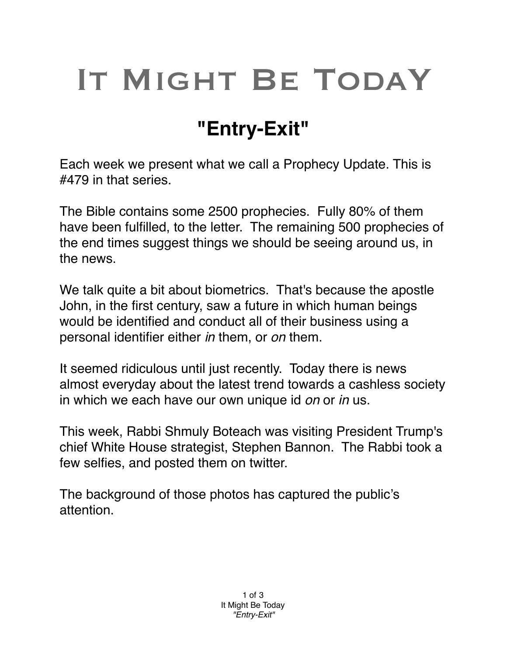## IT MIGHT BE TODAY

## **"Entry-Exit"**

Each week we present what we call a Prophecy Update. This is #479 in that series.

The Bible contains some 2500 prophecies. Fully 80% of them have been fulfilled, to the letter. The remaining 500 prophecies of the end times suggest things we should be seeing around us, in the news.

We talk quite a bit about biometrics. That's because the apostle John, in the first century, saw a future in which human beings would be identified and conduct all of their business using a personal identifier either *in* them, or *on* them.

It seemed ridiculous until just recently. Today there is news almost everyday about the latest trend towards a cashless society in which we each have our own unique id *on* or *in* us.

This week, Rabbi Shmuly Boteach was visiting President Trump's chief White House strategist, Stephen Bannon. The Rabbi took a few selfies, and posted them on twitter.

The background of those photos has captured the public's attention.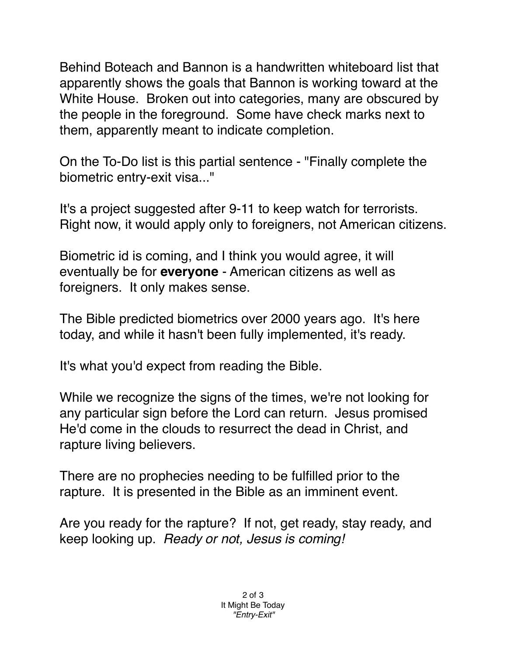Behind Boteach and Bannon is a handwritten whiteboard list that apparently shows the goals that Bannon is working toward at the White House. Broken out into categories, many are obscured by the people in the foreground. Some have check marks next to them, apparently meant to indicate completion.

On the To-Do list is this partial sentence - "Finally complete the biometric entry-exit visa..."

It's a project suggested after 9-11 to keep watch for terrorists. Right now, it would apply only to foreigners, not American citizens.

Biometric id is coming, and I think you would agree, it will eventually be for **everyone** - American citizens as well as foreigners. It only makes sense.

The Bible predicted biometrics over 2000 years ago. It's here today, and while it hasn't been fully implemented, it's ready.

It's what you'd expect from reading the Bible.

While we recognize the signs of the times, we're not looking for any particular sign before the Lord can return. Jesus promised He'd come in the clouds to resurrect the dead in Christ, and rapture living believers.

There are no prophecies needing to be fulfilled prior to the rapture. It is presented in the Bible as an imminent event.

Are you ready for the rapture? If not, get ready, stay ready, and keep looking up. *Ready or not, Jesus is coming!*